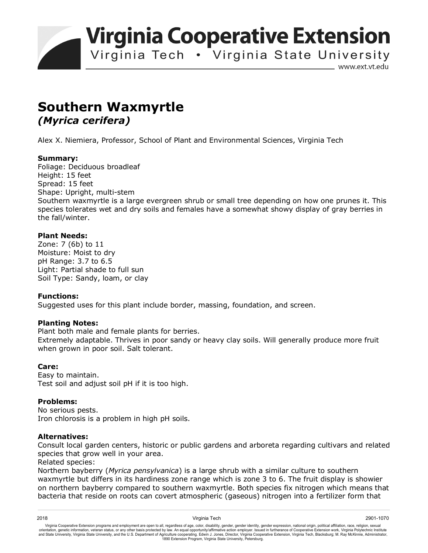**Virginia Cooperative Extension** 

Virginia Tech . Virginia State University

www.ext.vt.edu

# **Southern Waxmyrtle**  *(Myrica cerifera)*

Alex X. Niemiera, Professor, School of Plant and Environmental Sciences, Virginia Tech

# **Summary:**

Foliage: Deciduous broadleaf Height: 15 feet Spread: 15 feet Shape: Upright, multi-stem Southern waxmyrtle is a large evergreen shrub or small tree depending on how one prunes it. This species tolerates wet and dry soils and females have a somewhat showy display of gray berries in the fall/winter.

# **Plant Needs:**

Zone: 7 (6b) to 11 Moisture: Moist to dry pH Range: 3.7 to 6.5 Light: Partial shade to full sun Soil Type: Sandy, loam, or clay

### **Functions:**

Suggested uses for this plant include border, massing, foundation, and screen.

### **Planting Notes:**

Plant both male and female plants for berries.

Extremely adaptable. Thrives in poor sandy or heavy clay soils. Will generally produce more fruit when grown in poor soil. Salt tolerant.

### **Care:**

Easy to maintain. Test soil and adjust soil pH if it is too high.

### **Problems:**

No serious pests. Iron chlorosis is a problem in high pH soils.

### **Alternatives:**

Consult local garden centers, historic or public gardens and arboreta regarding cultivars and related species that grow well in your area.

Related species:

Northern bayberry (*Myrica pensylvanica*) is a large shrub with a similar culture to southern waxmyrtle but differs in its hardiness zone range which is zone 3 to 6. The fruit display is showier on northern bayberry compared to southern waxmyrtle. Both species fix nitrogen which means that bacteria that reside on roots can covert atmospheric (gaseous) nitrogen into a fertilizer form that

2018 Virginia Tech 2901-1070